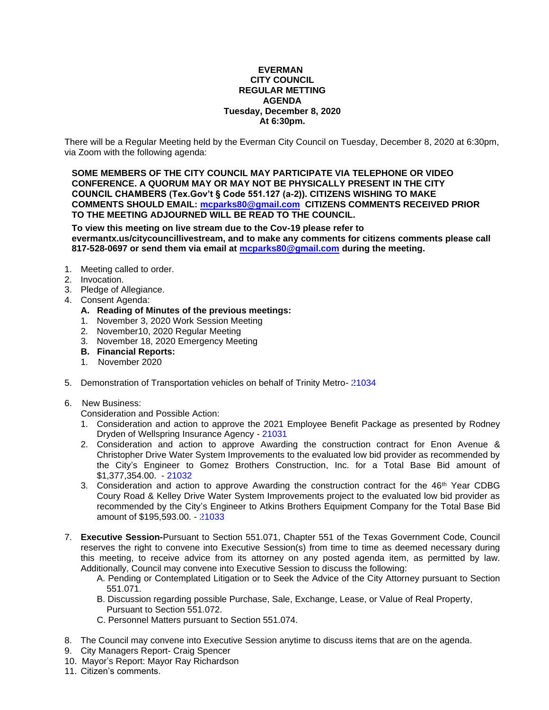### **EVERMAN CITY COUNCIL REGULAR METTING AGENDA Tuesday, December 8, 2020 At 6:30pm.**

There will be a Regular Meeting held by the Everman City Council on Tuesday, December 8, 2020 at 6:30pm, via Zoom with the following agenda:

**SOME MEMBERS OF THE CITY COUNCIL MAY PARTICIPATE VIA TELEPHONE OR VIDEO CONFERENCE. A QUORUM MAY OR MAY NOT BE PHYSICALLY PRESENT IN THE CITY COUNCIL CHAMBERS (Tex.Gov't § Code 551.127 (a-2)). CITIZENS WISHING TO MAKE COMMENTS SHOULD EMAIL: [mcparks80@gmail.com](mailto:mcparks80@gmail.com) CITIZENS COMMENTS RECEIVED PRIOR TO THE MEETING ADJOURNED WILL BE READ TO THE COUNCIL.**

**To view this meeting on live stream due to the Cov-19 please refer to evermantx.us/citycouncillivestream, and to make any comments for citizens comments please call 817-528-0697 or send them via email at [mcparks80@gmail.com](mailto:mcparks80@gmail.com) during the meeting.**

- 1. Meeting called to order.
- 2. Invocation.
- 3. Pledge of Allegiance.
- 4. Consent Agenda:
	- **A. Reading of Minutes of the previous meetings:**
	- 1. November 3, 2020 Work Session Meeting
	- 2. November10, 2020 Regular Meeting
	- 3. November 18, 2020 Emergency Meeting
	- **B. Financial Reports:**
	- 1. November 2020
- 5. Demonstration of Transportation vehicles on behalf of Trinity Metro- [21034](#page-7-0)
- 6. New Business:

Consideration and Possible Action:

- 1. Consideration and action to approve the 2021 Employee Benefit Package as presented by Rodney Dryden of Wellspring Insurance Agency - [21031](#page-8-0)
- 2. Consideration and action to approve Awarding the construction contract for Enon Avenue & Christopher Drive Water System Improvements to the evaluated low bid provider as recommended by the City's Engineer to Gomez Brothers Construction, Inc. for a Total Base Bid amount of \$1,377,354.00. - [21032](#page-9-0)
- 3. Consideration and action to approve Awarding the construction contract for the  $46<sup>th</sup>$  Year CDBG Coury Road & Kelley Drive Water System Improvements project to the evaluated low bid provider as recommended by the City's Engineer to Atkins Brothers Equipment Company for the Total Base Bid amount of \$195,593.00. - [21033](#page-10-0)
- 7. **Executive Session-**Pursuant to Section 551.071, Chapter 551 of the Texas Government Code, Council reserves the right to convene into Executive Session(s) from time to time as deemed necessary during this meeting, to receive advice from its attorney on any posted agenda item, as permitted by law. Additionally, Council may convene into Executive Session to discuss the following:
	- A. Pending or Contemplated Litigation or to Seek the Advice of the City Attorney pursuant to Section 551.071.
	- B. Discussion regarding possible Purchase, Sale, Exchange, Lease, or Value of Real Property, Pursuant to Section 551.072.
	- C. Personnel Matters pursuant to Section 551.074.
- 8. The Council may convene into Executive Session anytime to discuss items that are on the agenda.
- 9. City Managers Report- Craig Spencer
- 10. Mayor's Report: Mayor Ray Richardson
- 11. Citizen's comments.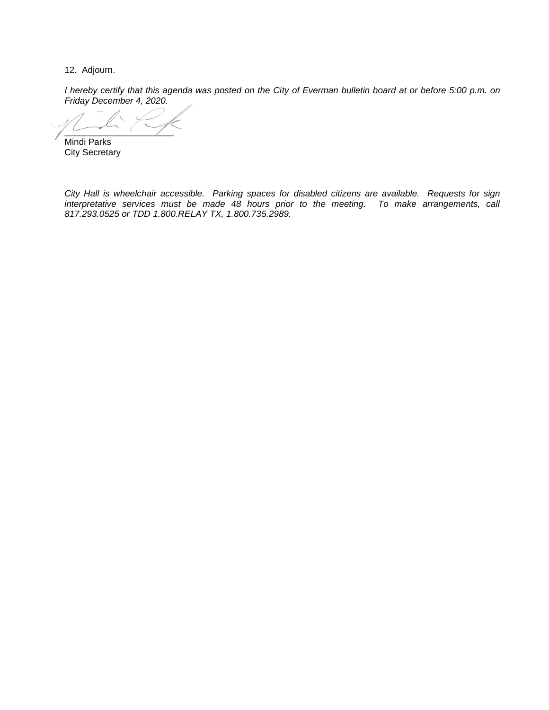12. Adjourn.

*I hereby certify that this agenda was posted on the City of Everman bulletin board at or before 5:00 p.m. on Friday December 4, 2020.*

 $\sim$   $\sim$   $\sim$   $\sim$   $\sim$   $\sim$ 

Mindi Parks City Secretary

*City Hall is wheelchair accessible. Parking spaces for disabled citizens are available. Requests for sign interpretative services must be made 48 hours prior to the meeting. To make arrangements, call 817.293.0525 or TDD 1.800.RELAY TX, 1.800.735.2989.*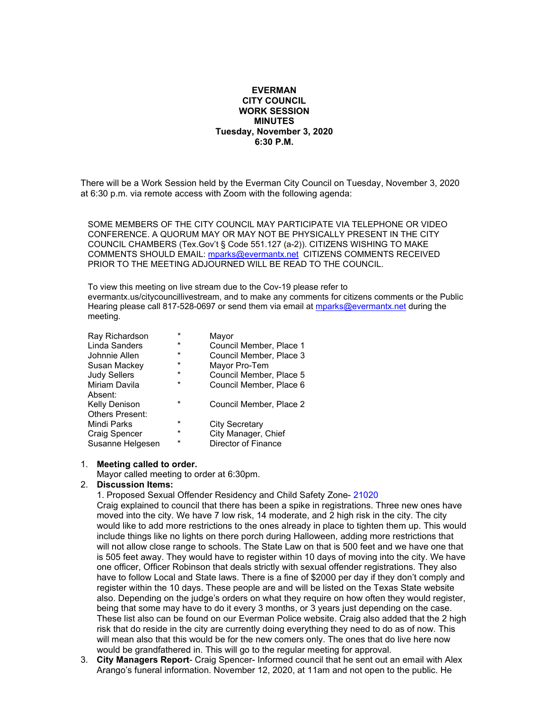### **EVERMAN CITY COUNCIL WORK SESSION MINUTES Tuesday, November 3, 2020 6:30 P.M.**

There will be a Work Session held by the Everman City Council on Tuesday, November 3, 2020 at 6:30 p.m. via remote access with Zoom with the following agenda:

SOME MEMBERS OF THE CITY COUNCIL MAY PARTICIPATE VIA TELEPHONE OR VIDEO CONFERENCE. A QUORUM MAY OR MAY NOT BE PHYSICALLY PRESENT IN THE CITY COUNCIL CHAMBERS (Tex.Gov't § Code 551.127 (a-2)). CITIZENS WISHING TO MAKE COMMENTS SHOULD EMAIL: [mparks@evermantx.net](mailto:mparks@evermantx.net) CITIZENS COMMENTS RECEIVED PRIOR TO THE MEETING ADJOURNED WILL BE READ TO THE COUNCIL.

To view this meeting on live stream due to the Cov-19 please refer to evermantx.us/citycouncillivestream, and to make any comments for citizens comments or the Public Hearing please call 817-528-0697 or send them via email at [mparks@evermantx.net](mailto:mparks@evermantx.net) during the meeting.

| Ray Richardson         | $\star$ | Mayor                   |
|------------------------|---------|-------------------------|
| Linda Sanders          | $\star$ | Council Member, Place 1 |
| Johnnie Allen          | $\star$ | Council Member, Place 3 |
| Susan Mackey           | $\star$ | Mayor Pro-Tem           |
| <b>Judy Sellers</b>    | $\star$ | Council Member, Place 5 |
| Miriam Davila          | $\star$ | Council Member, Place 6 |
| Absent:                |         |                         |
| <b>Kelly Denison</b>   | $\star$ | Council Member, Place 2 |
| <b>Others Present:</b> |         |                         |
| Mindi Parks            | $\star$ | <b>City Secretary</b>   |
| Craig Spencer          | $\star$ | City Manager, Chief     |
| Susanne Helgesen       | $\star$ | Director of Finance     |

#### 1. **Meeting called to order.**

Mayor called meeting to order at 6:30pm.

#### 2. **Discussion Items:**

1. Proposed Sexual Offender Residency and Child Safety Zone- 21020

Craig explained to council that there has been a spike in registrations. Three new ones have moved into the city. We have 7 low risk, 14 moderate, and 2 high risk in the city. The city would like to add more restrictions to the ones already in place to tighten them up. This would include things like no lights on there porch during Halloween, adding more restrictions that will not allow close range to schools. The State Law on that is 500 feet and we have one that is 505 feet away. They would have to register within 10 days of moving into the city. We have one officer, Officer Robinson that deals strictly with sexual offender registrations. They also have to follow Local and State laws. There is a fine of \$2000 per day if they don't comply and register within the 10 days. These people are and will be listed on the Texas State website also. Depending on the judge's orders on what they require on how often they would register, being that some may have to do it every 3 months, or 3 years just depending on the case. These list also can be found on our Everman Police website. Craig also added that the 2 high risk that do reside in the city are currently doing everything they need to do as of now. This will mean also that this would be for the new comers only. The ones that do live here now would be grandfathered in. This will go to the regular meeting for approval.

3. **City Managers Report**- Craig Spencer- Informed council that he sent out an email with Alex Arango's funeral information. November 12, 2020, at 11am and not open to the public. He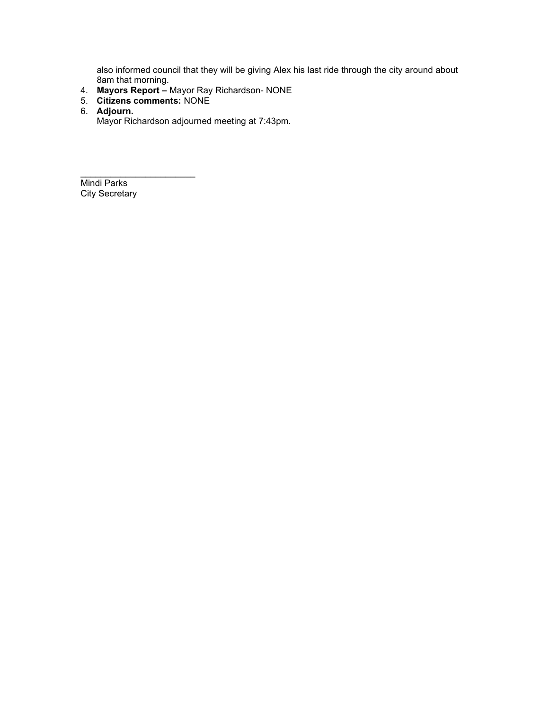also informed council that they will be giving Alex his last ride through the city around about 8am that morning.

- 4. **Mayors Report –** Mayor Ray Richardson- NONE
- 5. **Citizens comments:** NONE

 $\overline{\phantom{a}}$  , and the set of the set of the set of the set of the set of the set of the set of the set of the set of the set of the set of the set of the set of the set of the set of the set of the set of the set of the s

6. **Adjourn.**

Mayor Richardson adjourned meeting at 7:43pm.

Mindi Parks City Secretary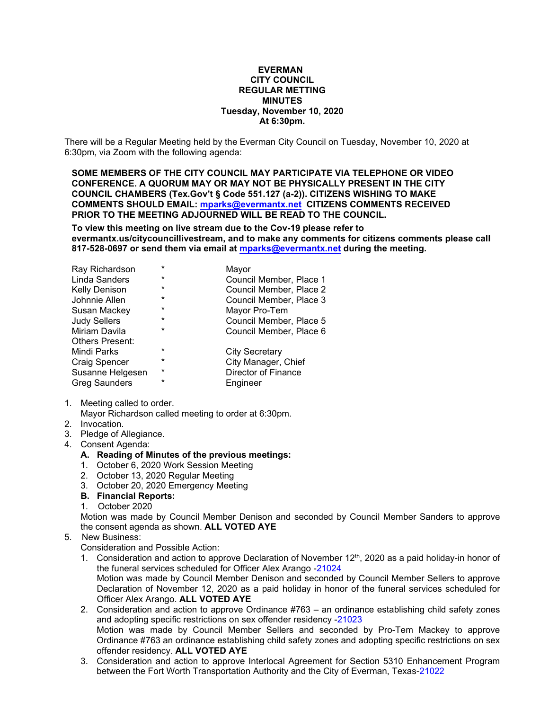### **EVERMAN CITY COUNCIL REGULAR METTING MINUTES Tuesday, November 10, 2020 At 6:30pm.**

There will be a Regular Meeting held by the Everman City Council on Tuesday, November 10, 2020 at 6:30pm, via Zoom with the following agenda:

**SOME MEMBERS OF THE CITY COUNCIL MAY PARTICIPATE VIA TELEPHONE OR VIDEO CONFERENCE. A QUORUM MAY OR MAY NOT BE PHYSICALLY PRESENT IN THE CITY COUNCIL CHAMBERS (Tex.Gov't § Code 551.127 (a-2)). CITIZENS WISHING TO MAKE COMMENTS SHOULD EMAIL: [mparks@evermantx.net](mailto:mparks@evermantx.net) CITIZENS COMMENTS RECEIVED PRIOR TO THE MEETING ADJOURNED WILL BE READ TO THE COUNCIL.**

**To view this meeting on live stream due to the Cov-19 please refer to evermantx.us/citycouncillivestream, and to make any comments for citizens comments please call 817-528-0697 or send them via email at [mparks@evermantx.net](mailto:mparks@evermantx.net) during the meeting.**

| Ray Richardson         | $\star$ | Mayor                      |
|------------------------|---------|----------------------------|
| Linda Sanders          | $\ast$  | Council Member, Place 1    |
| <b>Kelly Denison</b>   | *       | Council Member, Place 2    |
| Johnnie Allen          | *       | Council Member, Place 3    |
| Susan Mackey           | $\ast$  | Mayor Pro-Tem              |
| <b>Judy Sellers</b>    | $\ast$  | Council Member, Place 5    |
| Miriam Davila          | $\star$ | Council Member, Place 6    |
| <b>Others Present:</b> |         |                            |
| Mindi Parks            | $\star$ | <b>City Secretary</b>      |
| Craig Spencer          | $\ast$  | City Manager, Chief        |
| Susanne Helgesen       | $\star$ | <b>Director of Finance</b> |
| <b>Greg Saunders</b>   | $\star$ | Engineer                   |

- 1. Meeting called to order.
	- Mayor Richardson called meeting to order at 6:30pm.
- 2. Invocation.
- 3. Pledge of Allegiance.
- 4. Consent Agenda:
	- **A. Reading of Minutes of the previous meetings:**
	- 1. October 6, 2020 Work Session Meeting
	- 2. October 13, 2020 Regular Meeting
	- 3. October 20, 2020 Emergency Meeting
	- **B. Financial Reports:**
	- 1. October 2020

Motion was made by Council Member Denison and seconded by Council Member Sanders to approve the consent agenda as shown. **ALL VOTED AYE**

### 5. New Business:

Consideration and Possible Action:

- 1. Consideration and action to approve Declaration of November 12<sup>th</sup>, 2020 as a paid holiday-in honor of the funeral services scheduled for Officer Alex Arango -21024 Motion was made by Council Member Denison and seconded by Council Member Sellers to approve Declaration of November 12, 2020 as a paid holiday in honor of the funeral services scheduled for Officer Alex Arango. **ALL VOTED AYE**
- 2. Consideration and action to approve Ordinance #763 an ordinance establishing child safety zones and adopting specific restrictions on sex offender residency -21023 Motion was made by Council Member Sellers and seconded by Pro-Tem Mackey to approve Ordinance #763 an ordinance establishing child safety zones and adopting specific restrictions on sex offender residency. **ALL VOTED AYE**
- 3. Consideration and action to approve Interlocal Agreement for Section 5310 Enhancement Program between the Fort Worth Transportation Authority and the City of Everman, Texas-21022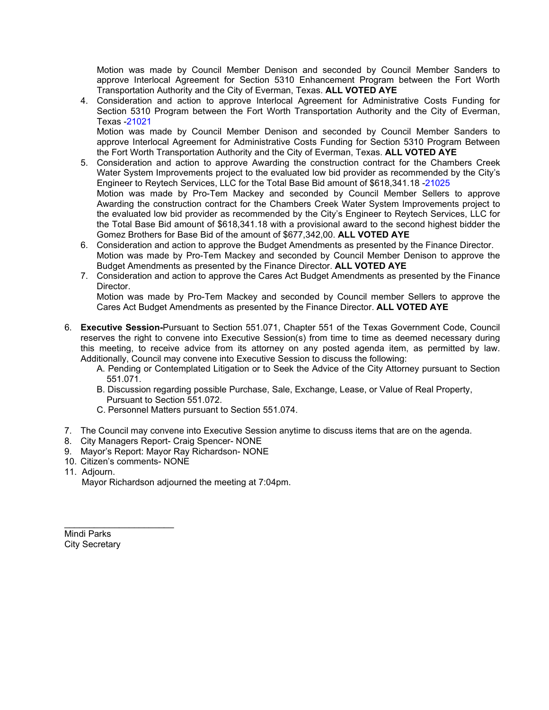Motion was made by Council Member Denison and seconded by Council Member Sanders to approve Interlocal Agreement for Section 5310 Enhancement Program between the Fort Worth Transportation Authority and the City of Everman, Texas. **ALL VOTED AYE**

4. Consideration and action to approve Interlocal Agreement for Administrative Costs Funding for Section 5310 Program between the Fort Worth Transportation Authority and the City of Everman, Texas -21021

Motion was made by Council Member Denison and seconded by Council Member Sanders to approve Interlocal Agreement for Administrative Costs Funding for Section 5310 Program Between the Fort Worth Transportation Authority and the City of Everman, Texas. **ALL VOTED AYE**

- 5. Consideration and action to approve Awarding the construction contract for the Chambers Creek Water System Improvements project to the evaluated low bid provider as recommended by the City's Engineer to Reytech Services, LLC for the Total Base Bid amount of \$618,341.18 -21025 Motion was made by Pro-Tem Mackey and seconded by Council Member Sellers to approve Awarding the construction contract for the Chambers Creek Water System Improvements project to the evaluated low bid provider as recommended by the City's Engineer to Reytech Services, LLC for the Total Base Bid amount of \$618,341.18 with a provisional award to the second highest bidder the Gomez Brothers for Base Bid of the amount of \$677,342,00. **ALL VOTED AYE**
- 6. Consideration and action to approve the Budget Amendments as presented by the Finance Director. Motion was made by Pro-Tem Mackey and seconded by Council Member Denison to approve the Budget Amendments as presented by the Finance Director. **ALL VOTED AYE**
- 7. Consideration and action to approve the Cares Act Budget Amendments as presented by the Finance Director.

Motion was made by Pro-Tem Mackey and seconded by Council member Sellers to approve the Cares Act Budget Amendments as presented by the Finance Director. **ALL VOTED AYE**

- 6. **Executive Session-**Pursuant to Section 551.071, Chapter 551 of the Texas Government Code, Council reserves the right to convene into Executive Session(s) from time to time as deemed necessary during this meeting, to receive advice from its attorney on any posted agenda item, as permitted by law. Additionally, Council may convene into Executive Session to discuss the following:
	- A. Pending or Contemplated Litigation or to Seek the Advice of the City Attorney pursuant to Section 551.071.
	- B. Discussion regarding possible Purchase, Sale, Exchange, Lease, or Value of Real Property, Pursuant to Section 551.072.
	- C. Personnel Matters pursuant to Section 551.074.
- 7. The Council may convene into Executive Session anytime to discuss items that are on the agenda.
- 8. City Managers Report- Craig Spencer- NONE
- 9. Mayor's Report: Mayor Ray Richardson- NONE
- 10. Citizen's comments- NONE

 $\mathcal{L}_\text{max}$  , which is a set of the set of the set of the set of the set of the set of the set of the set of the set of the set of the set of the set of the set of the set of the set of the set of the set of the set of

11. Adjourn.

Mayor Richardson adjourned the meeting at 7:04pm.

Mindi Parks City Secretary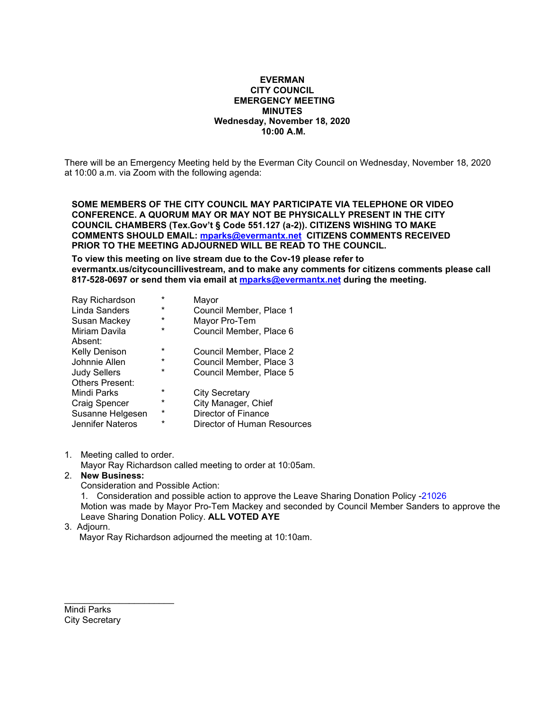## **EVERMAN CITY COUNCIL EMERGENCY MEETING MINUTES Wednesday, November 18, 2020 10:00 A.M.**

There will be an Emergency Meeting held by the Everman City Council on Wednesday, November 18, 2020 at 10:00 a.m. via Zoom with the following agenda:

**SOME MEMBERS OF THE CITY COUNCIL MAY PARTICIPATE VIA TELEPHONE OR VIDEO CONFERENCE. A QUORUM MAY OR MAY NOT BE PHYSICALLY PRESENT IN THE CITY COUNCIL CHAMBERS (Tex.Gov't § Code 551.127 (a-2)). CITIZENS WISHING TO MAKE COMMENTS SHOULD EMAIL: [mparks@evermantx.net](mailto:mparks@evermantx.net) CITIZENS COMMENTS RECEIVED PRIOR TO THE MEETING ADJOURNED WILL BE READ TO THE COUNCIL.**

**To view this meeting on live stream due to the Cov-19 please refer to evermantx.us/citycouncillivestream, and to make any comments for citizens comments please call 817-528-0697 or send them via email at [mparks@evermantx.net](mailto:mparks@evermantx.net) during the meeting.**

| Ray Richardson         | $\star$  | Mayor                       |
|------------------------|----------|-----------------------------|
| Linda Sanders          | $^\star$ | Council Member, Place 1     |
| Susan Mackey           | $\ast$   | Mayor Pro-Tem               |
| Miriam Davila          | $\ast$   | Council Member, Place 6     |
| Absent:                |          |                             |
| <b>Kelly Denison</b>   | $\star$  | Council Member, Place 2     |
| Johnnie Allen          | $\star$  | Council Member, Place 3     |
| <b>Judy Sellers</b>    | $\star$  | Council Member, Place 5     |
| <b>Others Present:</b> |          |                             |
| Mindi Parks            | $\star$  | City Secretary              |
| <b>Craig Spencer</b>   | $\ast$   | City Manager, Chief         |
| Susanne Helgesen       | $\star$  | Director of Finance         |
| Jennifer Nateros       | $\star$  | Director of Human Resources |

1. Meeting called to order.

Mayor Ray Richardson called meeting to order at 10:05am.

## 2. **New Business:**

Consideration and Possible Action:

1. Consideration and possible action to approve the Leave Sharing Donation Policy -21026 Motion was made by Mayor Pro-Tem Mackey and seconded by Council Member Sanders to approve the Leave Sharing Donation Policy. **ALL VOTED AYE**

#### 3. Adjourn.

Mayor Ray Richardson adjourned the meeting at 10:10am.

Mindi Parks City Secretary

 $\mathcal{L}$  , we are the set of the set of the set of the set of the set of the set of the set of the set of the set of the set of the set of the set of the set of the set of the set of the set of the set of the set of the s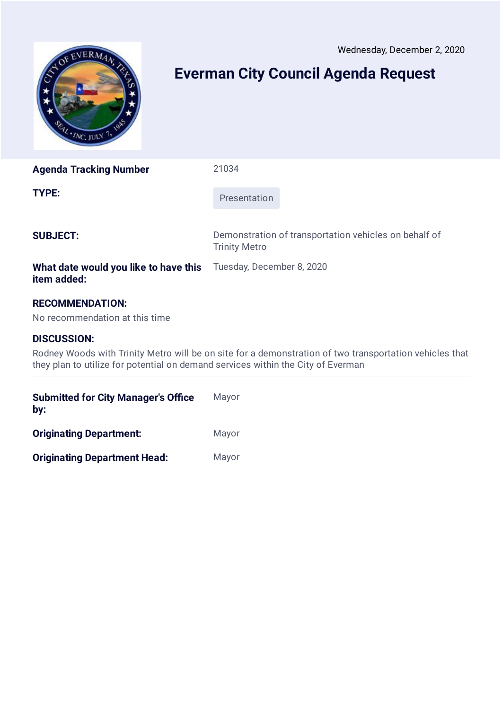<span id="page-7-0"></span>

# **Everman City Council Agenda Request**

**Agenda Tracking Number** 21034

**TYPE:** Presentation

**SUBJECT:** Demonstration of transportation vehicles on behalf of Trinity Metro

## **What date would you like to have this item added:**

# **RECOMMENDATION:**

No recommendation at this time

# **DISCUSSION:**

Rodney Woods with Trinity Metro will be on site for a demonstration of two transportation vehicles that they plan to utilize for potential on demand services within the City of Everman

Tuesday, December 8, 2020

| <b>Submitted for City Manager's Office</b><br>by: | Mayor |
|---------------------------------------------------|-------|
| <b>Originating Department:</b>                    | Mayor |
| <b>Originating Department Head:</b>               | Mayor |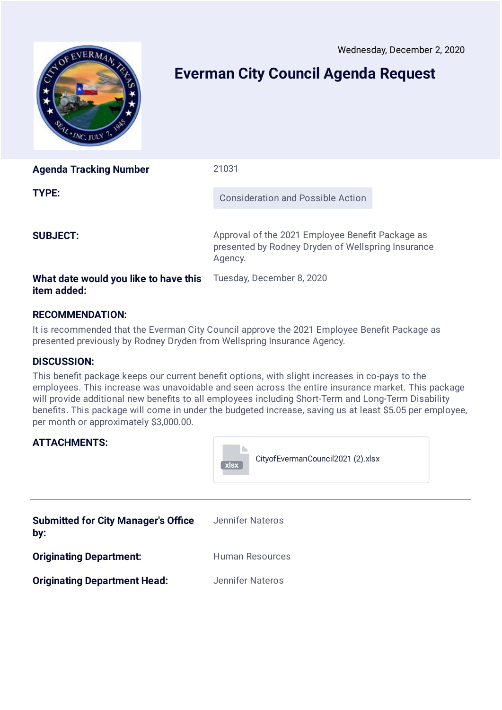<span id="page-8-0"></span>

# **Everman City Council Agenda Request**

| <b>Agenda Tracking Number</b>                        | 21031                                                                                                             |
|------------------------------------------------------|-------------------------------------------------------------------------------------------------------------------|
| TYPE:                                                | <b>Consideration and Possible Action</b>                                                                          |
| <b>SUBJECT:</b>                                      | Approval of the 2021 Employee Benefit Package as<br>presented by Rodney Dryden of Wellspring Insurance<br>Agency. |
| What date would you like to have this<br>item added: | Tuesday, December 8, 2020                                                                                         |

# **RECOMMENDATION:**

It is recommended that the Everman City Council approve the 2021 Employee Benefit Package as presented previously by Rodney Dryden from Wellspring Insurance Agency.

# **DISCUSSION:**

This benefit package keeps our current benefit options, with slight increases in co-pays to the employees. This increase was unavoidable and seen across the entire insurance market. This package will provide additional new benefits to all employees including Short-Term and Long-Term Disability benefits. This package will come in under the budgeted increase, saving us at least \$5.05 per employee, per month or approximately \$3,000.00.

| <b>ATTACHMENTS:</b>                               | Cityof Everman Council 2021 (2) .xlsx<br>xlsx |
|---------------------------------------------------|-----------------------------------------------|
| <b>Submitted for City Manager's Office</b><br>by: | Jennifer Nateros                              |
| <b>Originating Department:</b>                    | <b>Human Resources</b>                        |
| <b>Originating Department Head:</b>               | <b>Jennifer Nateros</b>                       |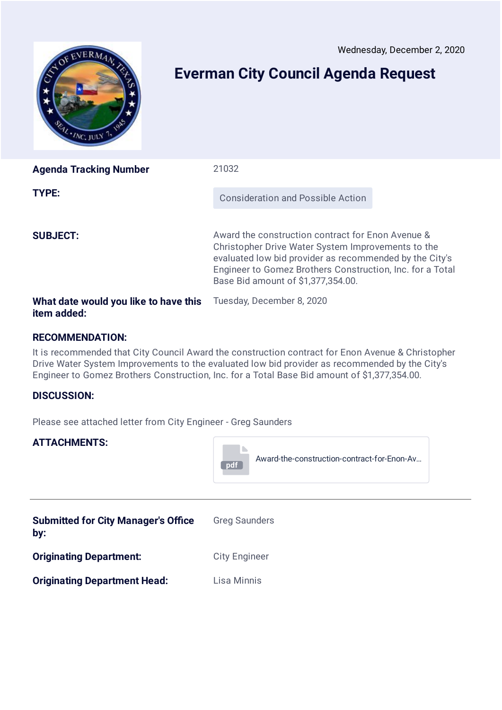<span id="page-9-0"></span>

# **Everman City Council Agenda Request**

| <b>Agenda Tracking Number</b>                        | 21032                                                                                                                                                                                                                                                                 |  |
|------------------------------------------------------|-----------------------------------------------------------------------------------------------------------------------------------------------------------------------------------------------------------------------------------------------------------------------|--|
| TYPE:                                                | <b>Consideration and Possible Action</b>                                                                                                                                                                                                                              |  |
| <b>SUBJECT:</b>                                      | Award the construction contract for Enon Avenue &<br>Christopher Drive Water System Improvements to the<br>evaluated low bid provider as recommended by the City's<br>Engineer to Gomez Brothers Construction, Inc. for a Total<br>Base Bid amount of \$1,377,354.00. |  |
| What date would you like to have this<br>item added: | Tuesday, December 8, 2020                                                                                                                                                                                                                                             |  |

# **RECOMMENDATION:**

It is recommended that City Council Award the construction contract for Enon Avenue & Christopher Drive Water System Improvements to the evaluated low bid provider as recommended by the City's Engineer to Gomez Brothers Construction, Inc. for a Total Base Bid amount of \$1,377,354.00.

## **DISCUSSION:**

Please see attached letter from City Engineer - Greg Saunders

# **ATTACHMENTS:**



| <b>Submitted for City Manager's Office</b><br>by: | <b>Greg Saunders</b> |
|---------------------------------------------------|----------------------|
| <b>Originating Department:</b>                    | <b>City Engineer</b> |
| <b>Originating Department Head:</b>               | Lisa Minnis          |